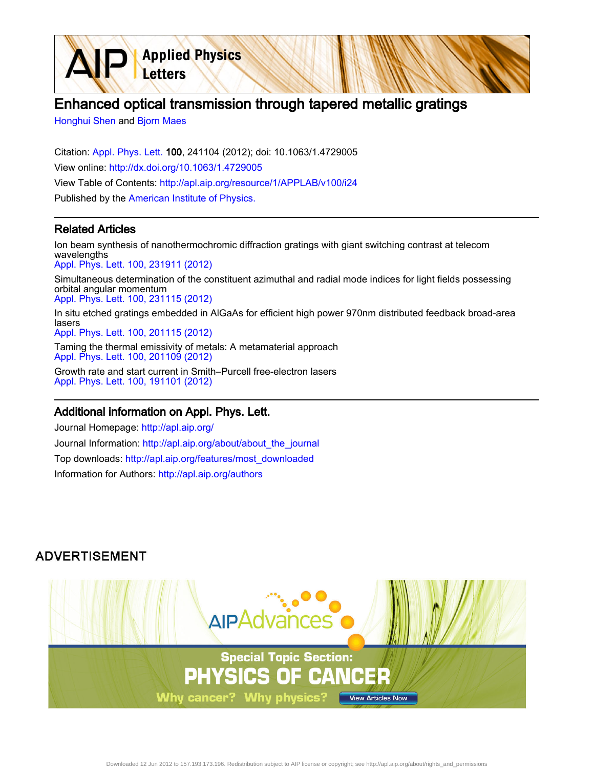# Enhanced optical transmission through tapered metallic gratings

[Honghui Shen](http://apl.aip.org/search?sortby=newestdate&q=&searchzone=2&searchtype=searchin&faceted=faceted&key=AIP_ALL&possible1=Honghui Shen&possible1zone=author&alias=&displayid=AIP&ver=pdfcov) and [Bjorn Maes](http://apl.aip.org/search?sortby=newestdate&q=&searchzone=2&searchtype=searchin&faceted=faceted&key=AIP_ALL&possible1=Bjorn Maes&possible1zone=author&alias=&displayid=AIP&ver=pdfcov)

Citation: [Appl. Phys. Lett. 1](http://apl.aip.org/?ver=pdfcov)00, 241104 (2012); doi: 10.1063/1.4729005 View online: [http://dx.doi.org/10.1063/1.4729005](http://link.aip.org/link/doi/10.1063/1.4729005?ver=pdfcov) View Table of Contents: [http://apl.aip.org/resource/1/APPLAB/v100/i24](http://apl.aip.org/resource/1/APPLAB/v100/i24?ver=pdfcov) Published by the [American Institute of Physics.](http://www.aip.org/?ver=pdfcov)

**Applied Physics** 

Letters

#### Related Articles

Ion beam synthesis of nanothermochromic diffraction gratings with giant switching contrast at telecom wavelengths [Appl. Phys. Lett. 100, 231911 \(2012\)](http://link.aip.org/link/doi/10.1063/1.4728110?ver=pdfcov)

Simultaneous determination of the constituent azimuthal and radial mode indices for light fields possessing orbital angular momentum [Appl. Phys. Lett. 100, 231115 \(2012\)](http://link.aip.org/link/doi/10.1063/1.4728111?ver=pdfcov)

In situ etched gratings embedded in AlGaAs for efficient high power 970nm distributed feedback broad-area lasers [Appl. Phys. Lett. 100, 201115 \(2012\)](http://link.aip.org/link/doi/10.1063/1.4718916?ver=pdfcov)

Taming the thermal emissivity of metals: A metamaterial approach [Appl. Phys. Lett. 100, 201109 \(2012\)](http://link.aip.org/link/doi/10.1063/1.4719582?ver=pdfcov) Growth rate and start current in Smith–Purcell free-electron lasers

[Appl. Phys. Lett. 100, 191101 \(2012\)](http://link.aip.org/link/doi/10.1063/1.4711803?ver=pdfcov)

#### Additional information on Appl. Phys. Lett.

Journal Homepage: [http://apl.aip.org/](http://apl.aip.org/?ver=pdfcov) Journal Information: [http://apl.aip.org/about/about\\_the\\_journal](http://apl.aip.org/about/about_the_journal?ver=pdfcov) Top downloads: [http://apl.aip.org/features/most\\_downloaded](http://apl.aip.org/features/most_downloaded?ver=pdfcov) Information for Authors: [http://apl.aip.org/authors](http://apl.aip.org/authors?ver=pdfcov)

### **ADVERTISEMENT**

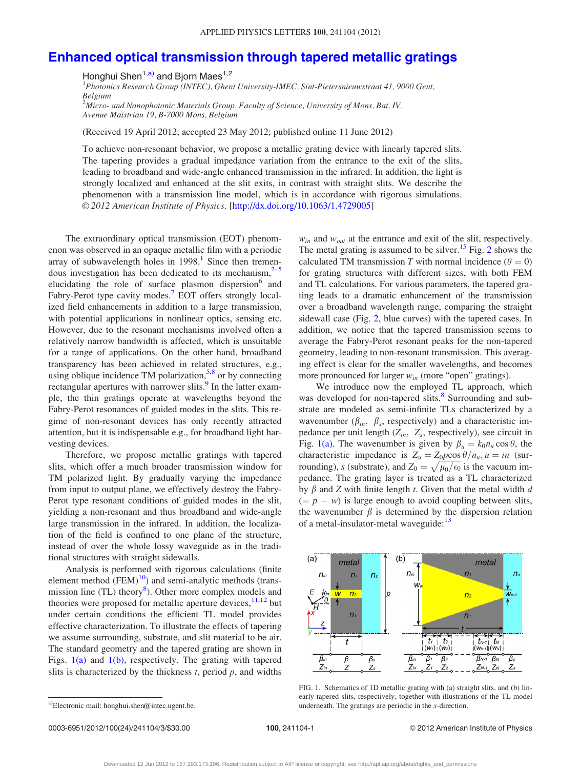## <span id="page-1-0"></span>[Enhanced optical transmission through tapered metallic gratings](http://dx.doi.org/10.1063/1.4729005)

Honghui Shen<sup>1,a)</sup> and Bjorn Maes<sup>1,2</sup>

<sup>1</sup>Photonics Research Group (INTEC), Ghent University-IMEC, Sint-Pietersnieuwstraat 41, 9000 Gent, Belgium

 $^2$ Micro- and Nanophotonic Materials Group, Faculty of Science, University of Mons, Bat. IV, Avenue Maistriau 19, B-7000 Mons, Belgium

(Received 19 April 2012; accepted 23 May 2012; published online 11 June 2012)

To achieve non-resonant behavior, we propose a metallic grating device with linearly tapered slits. The tapering provides a gradual impedance variation from the entrance to the exit of the slits, leading to broadband and wide-angle enhanced transmission in the infrared. In addition, the light is strongly localized and enhanced at the slit exits, in contrast with straight slits. We describe the phenomenon with a transmission line model, which is in accordance with rigorous simulations. V<sup>C</sup> 2012 American Institute of Physics. [[http://dx.doi.org/10.1063/1.4729005\]](http://dx.doi.org/10.1063/1.4729005)

The extraordinary optical transmission (EOT) phenomenon was observed in an opaque metallic film with a periodic array of subwavelength holes in  $1998$  $1998$ .<sup>1</sup> Since then tremendous investigation has been dedicated to its mechanism, $2\frac{1}{5}$ elucidating the role of surface plasmon dispersion<sup>[6](#page-3-0)</sup> and Fabry-Perot type cavity modes.<sup>[7](#page-3-0)</sup> EOT offers strongly localized field enhancements in addition to a large transmission, with potential applications in nonlinear optics, sensing etc. However, due to the resonant mechanisms involved often a relatively narrow bandwidth is affected, which is unsuitable for a range of applications. On the other hand, broadband transparency has been achieved in related structures, e.g., using oblique incidence TM polarization,<sup>5,[8](#page-3-0)</sup> or by connecting rectangular apertures with narrower slits.<sup>[9](#page-3-0)</sup> In the latter example, the thin gratings operate at wavelengths beyond the Fabry-Perot resonances of guided modes in the slits. This regime of non-resonant devices has only recently attracted attention, but it is indispensable e.g., for broadband light harvesting devices.

Therefore, we propose metallic gratings with tapered slits, which offer a much broader transmission window for TM polarized light. By gradually varying the impedance from input to output plane, we effectively destroy the Fabry-Perot type resonant conditions of guided modes in the slit, yielding a non-resonant and thus broadband and wide-angle large transmission in the infrared. In addition, the localization of the field is confined to one plane of the structure, instead of over the whole lossy waveguide as in the traditional structures with straight sidewalls.

Analysis is performed with rigorous calculations (finite element method  $(FEM)^{10}$  $(FEM)^{10}$  $(FEM)^{10}$ ) and semi-analytic methods (trans-mission line (TL) theory<sup>[8](#page-3-0)</sup>). Other more complex models and theories were proposed for metallic aperture devices,  $11,12$  but under certain conditions the efficient TL model provides effective characterization. To illustrate the effects of tapering we assume surrounding, substrate, and slit material to be air. The standard geometry and the tapered grating are shown in Figs.  $1(a)$  and  $1(b)$ , respectively. The grating with tapered slits is characterized by the thickness  $t$ , period  $p$ , and widths  $w_{in}$  and  $w_{out}$  at the entrance and exit of the slit, respectively. The metal grating is assumed to be silver.<sup>15</sup> Fig. [2](#page-2-0) shows the calculated TM transmission T with normal incidence ( $\theta = 0$ ) for grating structures with different sizes, with both FEM and TL calculations. For various parameters, the tapered grating leads to a dramatic enhancement of the transmission over a broadband wavelength range, comparing the straight sidewall case (Fig. [2,](#page-2-0) blue curves) with the tapered cases. In addition, we notice that the tapered transmission seems to average the Fabry-Perot resonant peaks for the non-tapered geometry, leading to non-resonant transmission. This averaging effect is clear for the smaller wavelengths, and becomes more pronounced for larger  $w_{in}$  (more "open" gratings).

We introduce now the employed TL approach, which was developed for non-tapered slits.<sup>[8](#page-3-0)</sup> Surrounding and substrate are modeled as semi-infinite TLs characterized by a wavenumber ( $\beta_{in}$ ,  $\beta_s$ , respectively) and a characteristic impedance per unit length  $(Z_{in}, Z_s$ , respectively), see circuit in Fig. 1(a). The wavenumber is given by  $\beta_u = k_0 n_u \cos \theta$ , the characteristic impedance is  $Z_u = Z_0 p \cos \theta / n_u, u = in$  (surrounding), s (substrate), and  $Z_0 = \sqrt{\mu_0/\epsilon_0}$  is the vacuum impedance. The grating layer is treated as a TL characterized by  $\beta$  and Z with finite length t. Given that the metal width d  $(= p - w)$  is large enough to avoid coupling between slits, the wavenumber  $\beta$  is determined by the dispersion relation of a metal-insulator-metal waveguide:<sup>[13](#page-3-0)</sup>



FIG. 1. Schematics of 1D metallic grating with (a) straight slits, and (b) linearly tapered slits, respectively, together with illustrations of the TL model a)Electronic mail: honghui.shen@intec.ugent.be.  $\blacksquare$  and  $\blacksquare$  and  $\blacksquare$  and  $\blacksquare$  and  $\blacksquare$  and  $\blacksquare$  are periodic in the x-direction.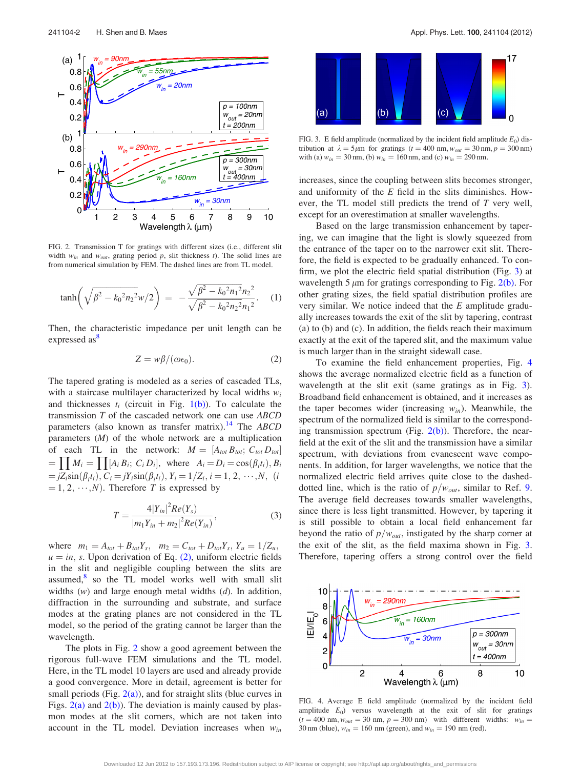<span id="page-2-0"></span>

FIG. 2. Transmission T for gratings with different sizes (i.e., different slit width  $w_{in}$  and  $w_{out}$ , grating period p, slit thickness t). The solid lines are from numerical simulation by FEM. The dashed lines are from TL model.

$$
\tanh\left(\sqrt{\beta^2 - k_0^2 n_2^2} w/2\right) = -\frac{\sqrt{\beta^2 - k_0^2 n_1^2} n_2^2}{\sqrt{\beta^2 - k_0^2 n_2^2} n_1^2}.
$$
 (1)

Then, the characteristic impedance per unit length can be expressed as<sup>[8](#page-3-0)</sup>

$$
Z = w\beta/(\omega\epsilon_0). \tag{2}
$$

The tapered grating is modeled as a series of cascaded TLs, with a staircase multilayer characterized by local widths  $w_i$ and thicknesses  $t_i$  (circuit in Fig. [1\(b\)\)](#page-1-0). To calculate the transmission  $T$  of the cascaded network one can use  $ABCD$ parameters (also known as transfer matrix).<sup>[14](#page-3-0)</sup> The  $ABCD$ parameters (M) of the whole network are a multiplication of each TL in the network:  $M = [A_{tot}, B_{tot}, C_{tot}, D_{tot}]$  $= \prod M_i = \prod [A_i B_i; C_i D_i],$  where  $A_i = D_i = \cos(\beta_i t_i), B_i$  $= jZ_i \sin(\beta_i t_i), C_i = jY_i \sin(\beta_i t_i), Y_i = 1/Z_i, i = 1, 2, \cdots, N,$  (*i*  $(1, 2, \cdots, N)$ . Therefore T is expressed by

$$
T = \frac{4|Y_{in}|^2 Re(Y_s)}{|m_1 Y_{in} + m_2|^2 Re(Y_{in})},
$$
\n(3)

where  $m_1 = A_{tot} + B_{tot}Y_s$ ,  $m_2 = C_{tot} + D_{tot}Y_s$ ,  $Y_u = 1/Z_u$ ,  $u = in$ , s. Upon derivation of Eq. (2), uniform electric fields in the slit and negligible coupling between the slits are assumed, $8$  so the TL model works well with small slit widths  $(w)$  and large enough metal widths  $(d)$ . In addition, diffraction in the surrounding and substrate, and surface modes at the grating planes are not considered in the TL model, so the period of the grating cannot be larger than the wavelength.

The plots in Fig. 2 show a good agreement between the rigorous full-wave FEM simulations and the TL model. Here, in the TL model 10 layers are used and already provide a good convergence. More in detail, agreement is better for small periods (Fig.  $2(a)$ ), and for straight slits (blue curves in Figs.  $2(a)$  and  $2(b)$ ). The deviation is mainly caused by plasmon modes at the slit corners, which are not taken into account in the TL model. Deviation increases when  $w_{in}$ 



FIG. 3. E field amplitude (normalized by the incident field amplitude  $E_0$ ) distribution at  $\lambda = 5\mu m$  for gratings (t = 400 nm,  $w_{out} = 30$  nm, p = 300 nm) with (a)  $w_{in} = 30$  nm, (b)  $w_{in} = 160$  nm, and (c)  $w_{in} = 290$  nm.

increases, since the coupling between slits becomes stronger, and uniformity of the  $E$  field in the slits diminishes. However, the TL model still predicts the trend of T very well, except for an overestimation at smaller wavelengths.

Based on the large transmission enhancement by tapering, we can imagine that the light is slowly squeezed from the entrance of the taper on to the narrower exit slit. Therefore, the field is expected to be gradually enhanced. To confirm, we plot the electric field spatial distribution (Fig. 3) at wavelength 5  $\mu$ m for gratings corresponding to Fig. 2(b). For other grating sizes, the field spatial distribution profiles are very similar. We notice indeed that the  $E$  amplitude gradually increases towards the exit of the slit by tapering, contrast (a) to (b) and (c). In addition, the fields reach their maximum exactly at the exit of the tapered slit, and the maximum value is much larger than in the straight sidewall case.

To examine the field enhancement properties, Fig. 4 shows the average normalized electric field as a function of wavelength at the slit exit (same gratings as in Fig. 3). Broadband field enhancement is obtained, and it increases as the taper becomes wider (increasing  $w_{in}$ ). Meanwhile, the spectrum of the normalized field is similar to the corresponding transmission spectrum (Fig. 2(b)). Therefore, the nearfield at the exit of the slit and the transmission have a similar spectrum, with deviations from evanescent wave components. In addition, for larger wavelengths, we notice that the normalized electric field arrives quite close to the dasheddotted line, which is the ratio of  $p/w_{out}$ , similar to Ref. [9](#page-3-0). The average field decreases towards smaller wavelengths, since there is less light transmitted. However, by tapering it is still possible to obtain a local field enhancement far beyond the ratio of  $p/w_{out}$ , instigated by the sharp corner at the exit of the slit, as the field maxima shown in Fig. 3. Therefore, tapering offers a strong control over the field



FIG. 4. Average E field amplitude (normalized by the incident field amplitude  $E_0$ ) versus wavelength at the exit of slit for gratings  $(t = 400 \text{ nm}, w_{out} = 30 \text{ nm}, p = 300 \text{ nm})$  with different widths:  $w_{in} =$ 30 nm (blue),  $w_{in} = 160$  nm (green), and  $w_{in} = 190$  nm (red).